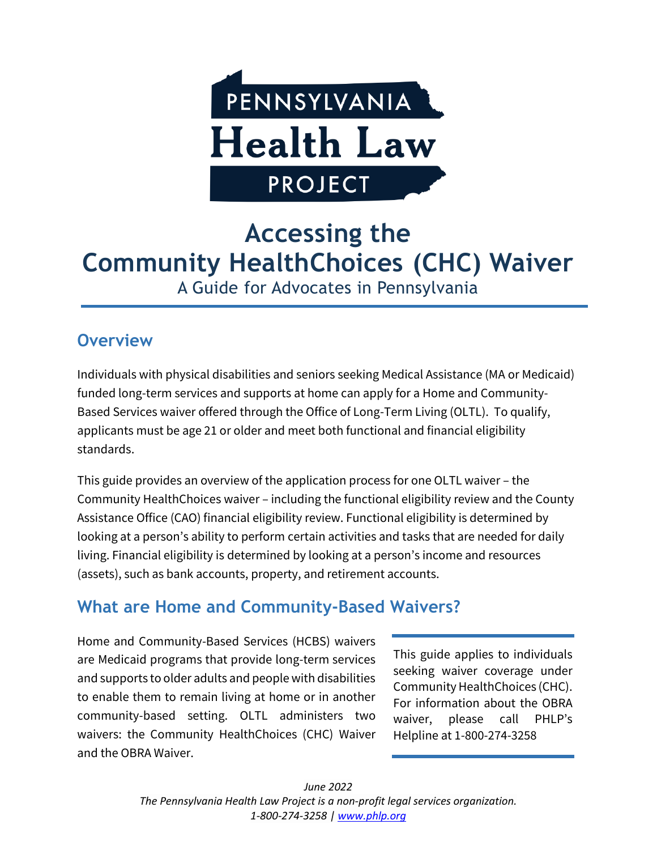

# **Accessing the Community HealthChoices (CHC) Waiver** A Guide for Advocates in Pennsylvania

### **Overview**

Individuals with physical disabilities and seniors seeking Medical Assistance (MA or Medicaid) funded long-term services and supports at home can apply for a Home and Community-Based Services waiver offered through the Office of Long-Term Living (OLTL). To qualify, applicants must be age 21 or older and meet both functional and financial eligibility standards.

This guide provides an overview of the application process for one OLTL waiver – the Community HealthChoices waiver – including the functional eligibility review and the County Assistance Office (CAO) financial eligibility review. Functional eligibility is determined by looking at a person's ability to perform certain activities and tasks that are needed for daily living. Financial eligibility is determined by looking at a person's income and resources (assets), such as bank accounts, property, and retirement accounts.

# **What are Home and Community-Based Waivers?**

Home and Community-Based Services (HCBS) waivers are Medicaid programs that provide long-term services and supports to older adults and people with disabilities to enable them to remain living at home or in another community-based setting. OLTL administers two waivers: the Community HealthChoices (CHC) Waiver and the OBRA Waiver.

This guide applies to individuals seeking waiver coverage under Community HealthChoices (CHC). For information about the OBRA waiver, please call PHLP's Helpline at 1-800-274-3258

*June 2022 The Pennsylvania Health Law Project is a non-profit legal services organization. 1-800-274-3258 | [www.phlp.org](http://www.phlp.org/)*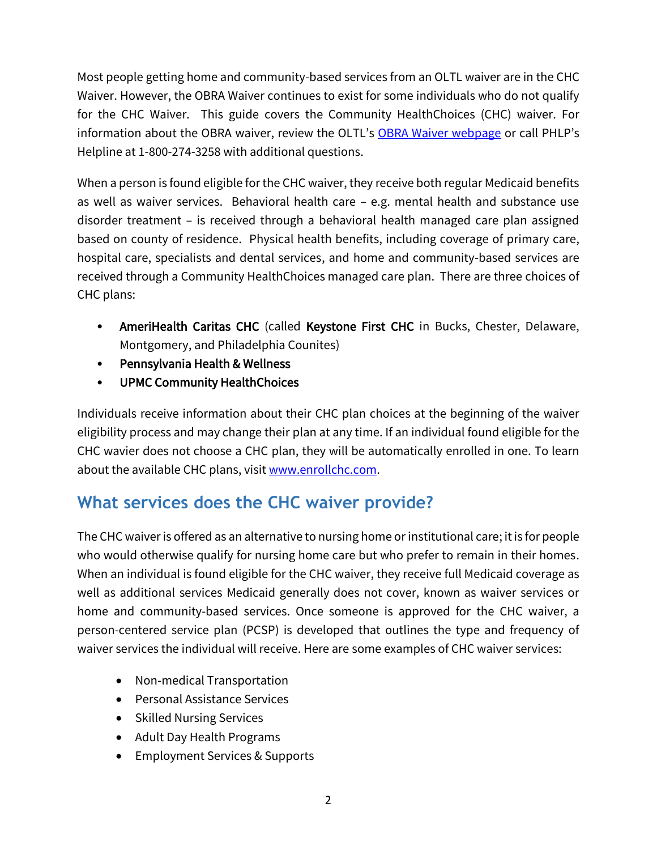Most people getting home and community-based services from an OLTL waiver are in the CHC Waiver. However, the OBRA Waiver continues to exist for some individuals who do not qualify for the CHC Waiver. This guide covers the Community HealthChoices (CHC) waiver. For information about the OBRA waiver, review the OLTL's [OBRA Waiver webpage](https://www.dhs.pa.gov/Services/Disabilities-Aging/Pages/OBRA.aspx) or call PHLP's Helpline at 1-800-274-3258 with additional questions.

When a person is found eligible for the CHC waiver, they receive both regular Medicaid benefits as well as waiver services. Behavioral health care – e.g. mental health and substance use disorder treatment – is received through a behavioral health managed care plan assigned based on county of residence. Physical health benefits, including coverage of primary care, hospital care, specialists and dental services, and home and community-based services are received through a Community HealthChoices managed care plan. There are three choices of CHC plans:

- AmeriHealth Caritas CHC (called Keystone First CHC in Bucks, Chester, Delaware, Montgomery, and Philadelphia Counites)
- Pennsylvania Health & Wellness
- UPMC Community HealthChoices

Individuals receive information about their CHC plan choices at the beginning of the waiver eligibility process and may change their plan at any time. If an individual found eligible for the CHC wavier does not choose a CHC plan, they will be automatically enrolled in one. To learn about the available CHC plans, visi[t www.enrollchc.com.](http://www.enrollchc.com/)

# **What services does the CHC waiver provide?**

The CHC waiver is offered as an alternative to nursing home or institutional care; it is for people who would otherwise qualify for nursing home care but who prefer to remain in their homes. When an individual is found eligible for the CHC waiver, they receive full Medicaid coverage as well as additional services Medicaid generally does not cover, known as waiver services or home and community-based services. Once someone is approved for the CHC waiver, a person-centered service plan (PCSP) is developed that outlines the type and frequency of waiver services the individual will receive. Here are some examples of CHC waiver services:

- Non-medical Transportation
- Personal Assistance Services
- Skilled Nursing Services
- Adult Day Health Programs
- Employment Services & Supports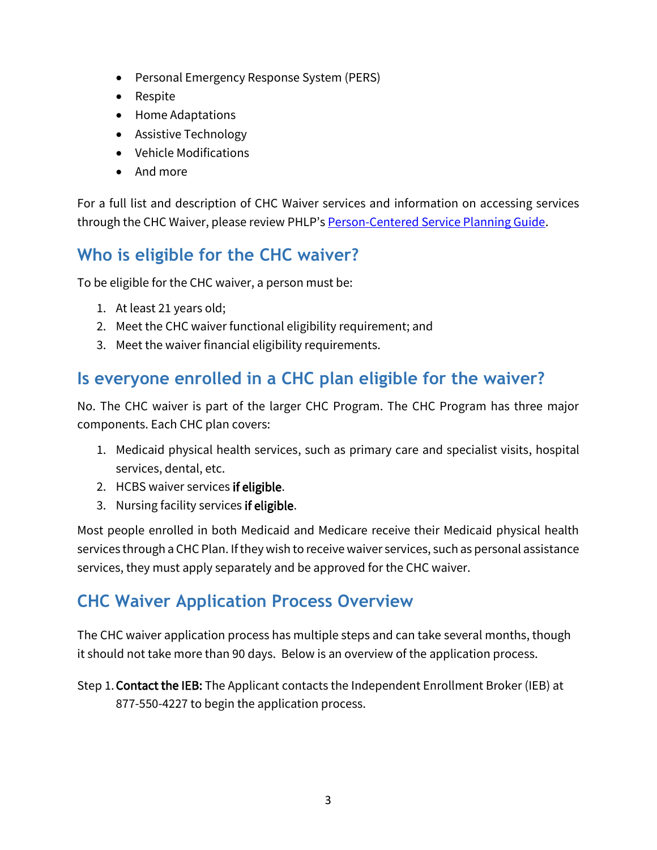- Personal Emergency Response System (PERS)
- Respite
- Home Adaptations
- Assistive Technology
- Vehicle Modifications
- And more

For a full list and description of CHC Waiver services and information on accessing services through the CHC Waiver, please review PHLP's [Person-Centered Service Planning Guide.](https://www.phlp.org/uploads/attachments/ck5ees9jc2nl9d7u80g64ftiw-pcsp-consumer-materials.pdf)

## **Who is eligible for the CHC waiver?**

To be eligible for the CHC waiver, a person must be:

- 1. At least 21 years old;
- 2. Meet the CHC waiver functional eligibility requirement; and
- 3. Meet the waiver financial eligibility requirements.

## **Is everyone enrolled in a CHC plan eligible for the waiver?**

No. The CHC waiver is part of the larger CHC Program. The CHC Program has three major components. Each CHC plan covers:

- 1. Medicaid physical health services, such as primary care and specialist visits, hospital services, dental, etc.
- 2. HCBS waiver services if eligible.
- 3. Nursing facility services if eligible.

Most people enrolled in both Medicaid and Medicare receive their Medicaid physical health services through a CHC Plan. If they wish to receive waiver services, such as personal assistance services, they must apply separately and be approved for the CHC waiver.

### **CHC Waiver Application Process Overview**

The CHC waiver application process has multiple steps and can take several months, though it should not take more than 90 days. Below is an overview of the application process.

Step 1.Contact the IEB: The Applicant contacts the Independent Enrollment Broker (IEB) at 877-550-4227 to begin the application process.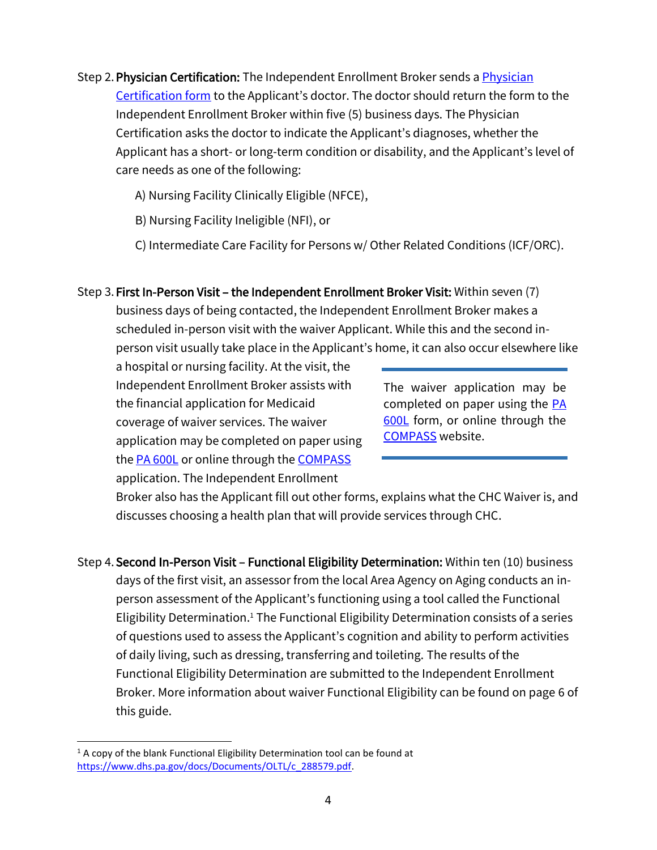Step 2.Physician Certification: The Independent Enrollment Broker sends [a Physician](https://paieb.com/doc/Physicians_Certification_Form.pdf)  [Certification form](https://paieb.com/doc/Physicians_Certification_Form.pdf) to the Applicant's doctor. The doctor should return the form to the Independent Enrollment Broker within five (5) business days. The Physician Certification asks the doctor to indicate the Applicant's diagnoses, whether the Applicant has a short- or long-term condition or disability, and the Applicant's level of care needs as one of the following:

A) Nursing Facility Clinically Eligible (NFCE),

B) Nursing Facility Ineligible (NFI), or

C) Intermediate Care Facility for Persons w/ Other Related Conditions (ICF/ORC).

#### Step 3. First In-Person Visit – the Independent Enrollment Broker Visit: Within seven (7)

business days of being contacted, the Independent Enrollment Broker makes a scheduled in-person visit with the waiver Applicant. While this and the second inperson visit usually take place in the Applicant's home, it can also occur elsewhere like

a hospital or nursing facility. At the visit, the Independent Enrollment Broker assists with the financial application for Medicaid coverage of waiver services. The waiver application may be completed on paper using the **PA 600L** or online through the **COMPASS** application. The Independent Enrollment

The waiver application may be completed on paper using the [PA](https://www.dhs.pa.gov/docs/Publications/Documents/FORMS%20AND%20PUBS%20OMAP/Medicaid%20Financial%20Eligibility.pdf)  [600L](https://www.dhs.pa.gov/docs/Publications/Documents/FORMS%20AND%20PUBS%20OMAP/Medicaid%20Financial%20Eligibility.pdf) form, or online through the [COMPASS](https://www.compass.state.pa.us/Compass.Web/Screening/SystemCompatibility?Origin=DoIQualify) website.

Broker also has the Applicant fill out other forms, explains what the CHC Waiver is, and discusses choosing a health plan that will provide services through CHC.

Step 4.Second In-Person Visit – Functional Eligibility Determination: Within ten (10) business days of the first visit, an assessor from the local Area Agency on Aging conducts an inperson assessment of the Applicant's functioning using a tool called the Functional Eligibility Determination. <sup>1</sup> The Functional Eligibility Determination consists of a series of questions used to assess the Applicant's cognition and ability to perform activities of daily living, such as dressing, transferring and toileting. The results of the Functional Eligibility Determination are submitted to the Independent Enrollment Broker. More information about waiver Functional Eligibility can be found on page 6 of this guide.

 $1$  A copy of the blank Functional Eligibility Determination tool can be found at [https://www.dhs.pa.gov/docs/Documents/OLTL/c\\_288579.pdf.](https://www.dhs.pa.gov/docs/Documents/OLTL/c_288579.pdf)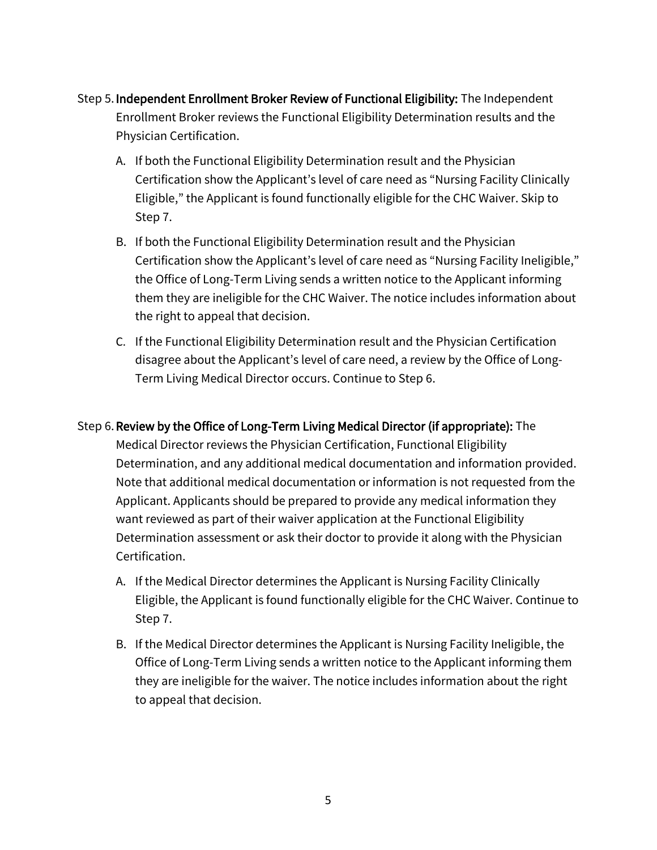- Step 5.Independent Enrollment Broker Review of Functional Eligibility: The Independent Enrollment Broker reviews the Functional Eligibility Determination results and the Physician Certification.
	- A. If both the Functional Eligibility Determination result and the Physician Certification show the Applicant's level of care need as "Nursing Facility Clinically Eligible," the Applicant is found functionally eligible for the CHC Waiver. Skip to Step 7.
	- B. If both the Functional Eligibility Determination result and the Physician Certification show the Applicant's level of care need as "Nursing Facility Ineligible," the Office of Long-Term Living sends a written notice to the Applicant informing them they are ineligible for the CHC Waiver. The notice includes information about the right to appeal that decision.
	- C. If the Functional Eligibility Determination result and the Physician Certification disagree about the Applicant's level of care need, a review by the Office of Long-Term Living Medical Director occurs. Continue to Step 6.
- Step 6.Review by the Office of Long-Term Living Medical Director (if appropriate): The Medical Director reviews the Physician Certification, Functional Eligibility Determination, and any additional medical documentation and information provided. Note that additional medical documentation or information is not requested from the Applicant. Applicants should be prepared to provide any medical information they want reviewed as part of their waiver application at the Functional Eligibility Determination assessment or ask their doctor to provide it along with the Physician Certification.
	- A. If the Medical Director determines the Applicant is Nursing Facility Clinically Eligible, the Applicant is found functionally eligible for the CHC Waiver. Continue to Step 7.
	- B. If the Medical Director determines the Applicant is Nursing Facility Ineligible, the Office of Long-Term Living sends a written notice to the Applicant informing them they are ineligible for the waiver. The notice includes information about the right to appeal that decision.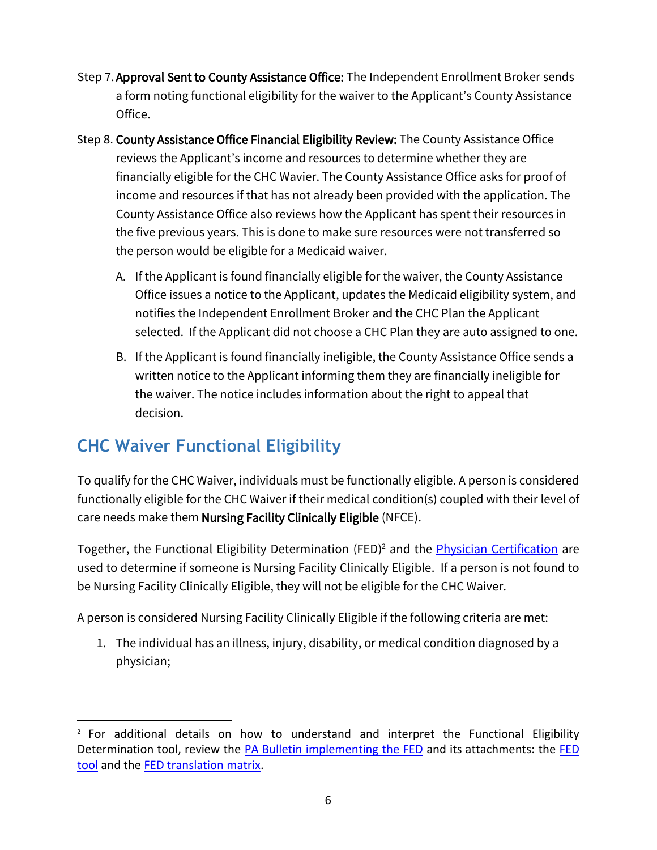- Step 7.Approval Sent to County Assistance Office: The Independent Enrollment Broker sends a form noting functional eligibility for the waiver to the Applicant's County Assistance Office.
- Step 8. County Assistance Office Financial Eligibility Review: The County Assistance Office reviews the Applicant's income and resources to determine whether they are financially eligible for the CHC Wavier. The County Assistance Office asks for proof of income and resources if that has not already been provided with the application. The County Assistance Office also reviews how the Applicant has spent their resources in the five previous years. This is done to make sure resources were not transferred so the person would be eligible for a Medicaid waiver.
	- A. If the Applicant is found financially eligible for the waiver, the County Assistance Office issues a notice to the Applicant, updates the Medicaid eligibility system, and notifies the Independent Enrollment Broker and the CHC Plan the Applicant selected. If the Applicant did not choose a CHC Plan they are auto assigned to one.
	- B. If the Applicant is found financially ineligible, the County Assistance Office sends a written notice to the Applicant informing them they are financially ineligible for the waiver. The notice includes information about the right to appeal that decision.

# **CHC Waiver Functional Eligibility**

To qualify for the CHC Waiver, individuals must be functionally eligible. A person is considered functionally eligible for the CHC Waiver if their medical condition(s) coupled with their level of care needs make them Nursing Facility Clinically Eligible (NFCE).

Together, the Functional Eligibility Determination (FED)<sup>2</sup> and the *[Physician Certification](https://paieb.com/doc/Physicians_Certification_Form.pdf)* are used to determine if someone is Nursing Facility Clinically Eligible. If a person is not found to be Nursing Facility Clinically Eligible, they will not be eligible for the CHC Waiver.

A person is considered Nursing Facility Clinically Eligible if the following criteria are met:

1. The individual has an illness, injury, disability, or medical condition diagnosed by a physician;

 $2$  For additional details on how to understand and interpret the Functional Eligibility Determination tool, review the PA Bulletin [implementing the FED](https://www.dhs.pa.gov/docs/Publications/Documents/FORMS%20AND%20PUBS%20OLTL/c_288578.pdf) and its attachments: the [FED](https://www.dhs.pa.gov/docs/Publications/Documents/FORMS%20AND%20PUBS%20OLTL/c_288579.pdf)  [tool](https://www.dhs.pa.gov/docs/Publications/Documents/FORMS%20AND%20PUBS%20OLTL/c_288579.pdf) and the **FED** translation matrix.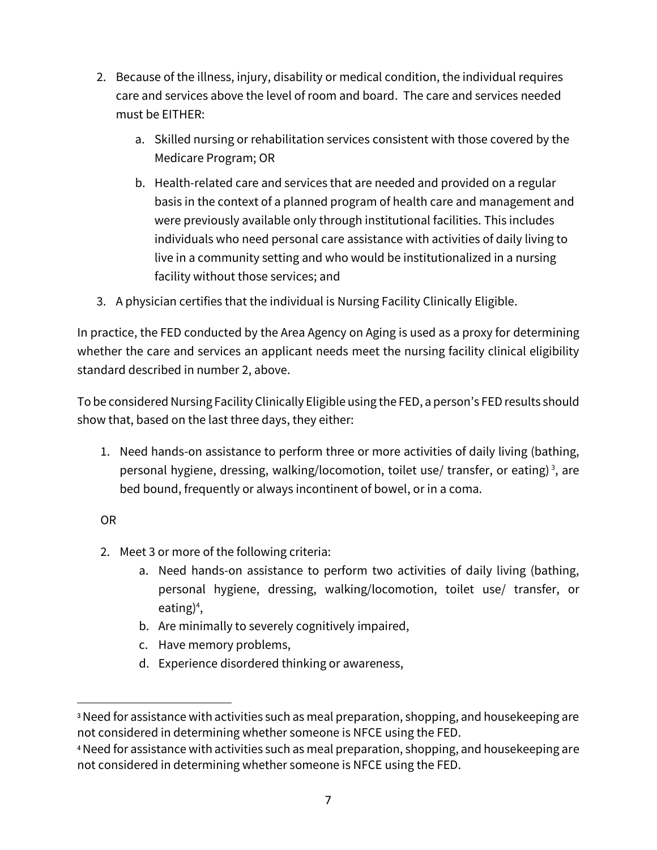- 2. Because of the illness, injury, disability or medical condition, the individual requires care and services above the level of room and board. The care and services needed must be EITHER:
	- a. Skilled nursing or rehabilitation services consistent with those covered by the Medicare Program; OR
	- b. Health-related care and services that are needed and provided on a regular basis in the context of a planned program of health care and management and were previously available only through institutional facilities. This includes individuals who need personal care assistance with activities of daily living to live in a community setting and who would be institutionalized in a nursing facility without those services; and
- 3. A physician certifies that the individual is Nursing Facility Clinically Eligible.

In practice, the FED conducted by the Area Agency on Aging is used as a proxy for determining whether the care and services an applicant needs meet the nursing facility clinical eligibility standard described in number 2, above.

To be considered Nursing Facility Clinically Eligible using the FED, a person's FED results should show that, based on the last three days, they either:

1. Need hands-on assistance to perform three or more activities of daily living (bathing, personal hygiene, dressing, walking/locomotion, toilet use/ transfer, or eating)<sup>3</sup>, are bed bound, frequently or always incontinent of bowel, or in a coma.

#### OR

- 2. Meet 3 or more of the following criteria:
	- a. Need hands-on assistance to perform two activities of daily living (bathing, personal hygiene, dressing, walking/locomotion, toilet use/ transfer, or eating)<sup>4</sup>,
	- b. Are minimally to severely cognitively impaired,
	- c. Have memory problems,
	- d. Experience disordered thinking or awareness,

<sup>&</sup>lt;sup>3</sup> Need for assistance with activities such as meal preparation, shopping, and housekeeping are not considered in determining whether someone is NFCE using the FED.

<sup>4</sup>Need for assistance with activities such as meal preparation, shopping, and housekeeping are not considered in determining whether someone is NFCE using the FED.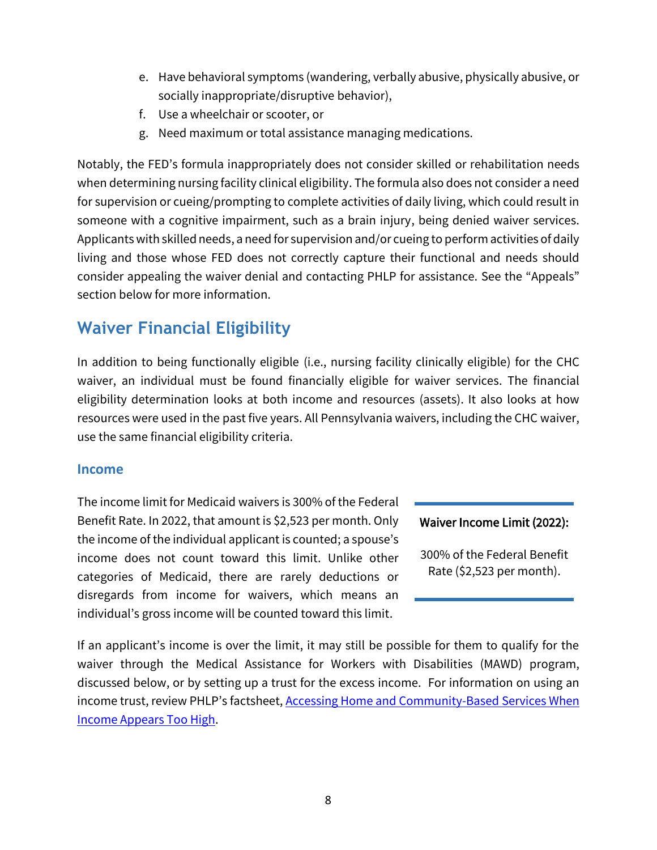- e. Have behavioral symptoms (wandering, verbally abusive, physically abusive, or socially inappropriate/disruptive behavior),
- f. Use a wheelchair or scooter, or
- g. Need maximum or total assistance managing medications.

Notably, the FED's formula inappropriately does not consider skilled or rehabilitation needs when determining nursing facility clinical eligibility. The formula also does not consider a need for supervision or cueing/prompting to complete activities of daily living, which could result in someone with a cognitive impairment, such as a brain injury, being denied waiver services. Applicants with skilled needs, a need for supervision and/or cueing to perform activities of daily living and those whose FED does not correctly capture their functional and needs should consider appealing the waiver denial and contacting PHLP for assistance. See the "Appeals" section below for more information.

## **Waiver Financial Eligibility**

In addition to being functionally eligible (i.e., nursing facility clinically eligible) for the CHC waiver, an individual must be found financially eligible for waiver services. The financial eligibility determination looks at both income and resources (assets). It also looks at how resources were used in the past five years. All Pennsylvania waivers, including the CHC waiver, use the same financial eligibility criteria.

#### **Income**

The income limit for Medicaid waivers is 300% of the Federal Benefit Rate. In 2022, that amount is \$2,523 per month. Only the income of the individual applicant is counted; a spouse's income does not count toward this limit. Unlike other categories of Medicaid, there are rarely deductions or disregards from income for waivers, which means an individual's gross income will be counted toward this limit.

#### Waiver Income Limit (2022):

300% of the Federal Benefit Rate (\$2,523 per month).

If an applicant's income is over the limit, it may still be possible for them to qualify for the waiver through the Medical Assistance for Workers with Disabilities (MAWD) program, discussed below, or by setting up a trust for the excess income. For information on using an income trust, review PHLP's factsheet, **[Accessing Home and Community-Based](https://www.phlp.org/uploads/attachments/cl26g99dcbwg4gqu8uvtb6gx7-accessing-home-and-community-based-services-when-income-is-too-high-2022.pdf) Services When** [Income Appears Too High.](https://www.phlp.org/uploads/attachments/cl26g99dcbwg4gqu8uvtb6gx7-accessing-home-and-community-based-services-when-income-is-too-high-2022.pdf)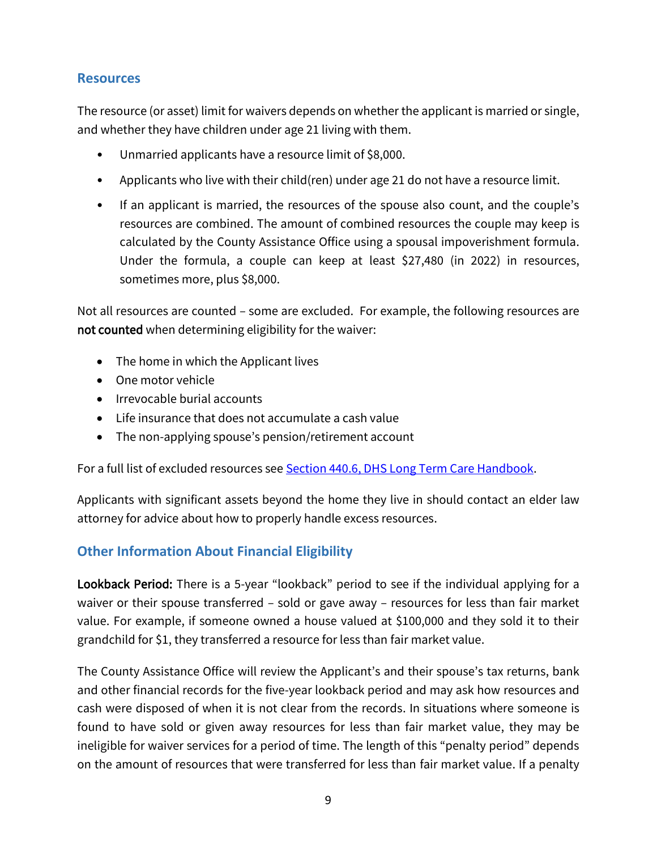#### **Resources**

The resource (or asset) limit for waivers depends on whether the applicant is married or single, and whether they have children under age 21 living with them.

- Unmarried applicants have a resource limit of \$8,000.
- Applicants who live with their child(ren) under age 21 do not have a resource limit.
- If an applicant is married, the resources of the spouse also count, and the couple's resources are combined. The amount of combined resources the couple may keep is calculated by the County Assistance Office using a spousal impoverishment formula. Under the formula, a couple can keep at least \$27,480 (in 2022) in resources, sometimes more, plus \$8,000.

Not all resources are counted – some are excluded. For example, the following resources are not counted when determining eligibility for the waiver:

- The home in which the Applicant lives
- One motor vehicle
- Irrevocable burial accounts
- Life insurance that does not accumulate a cash value
- The non-applying spouse's pension/retirement account

For a full list of excluded resources see **Section 440.6, [DHS Long Term Care Handbook.](http://services.dpw.state.pa.us/oimpolicymanuals/ltc/440_Resources/440_6_Resource_Exclusions.htm)** 

Applicants with significant assets beyond the home they live in should contact an elder law attorney for advice about how to properly handle excess resources.

#### **Other Information About Financial Eligibility**

Lookback Period: There is a 5-year "lookback" period to see if the individual applying for a waiver or their spouse transferred – sold or gave away – resources for less than fair market value. For example, if someone owned a house valued at \$100,000 and they sold it to their grandchild for \$1, they transferred a resource for less than fair market value.

The County Assistance Office will review the Applicant's and their spouse's tax returns, bank and other financial records for the five-year lookback period and may ask how resources and cash were disposed of when it is not clear from the records. In situations where someone is found to have sold or given away resources for less than fair market value, they may be ineligible for waiver services for a period of time. The length of this "penalty period" depends on the amount of resources that were transferred for less than fair market value. If a penalty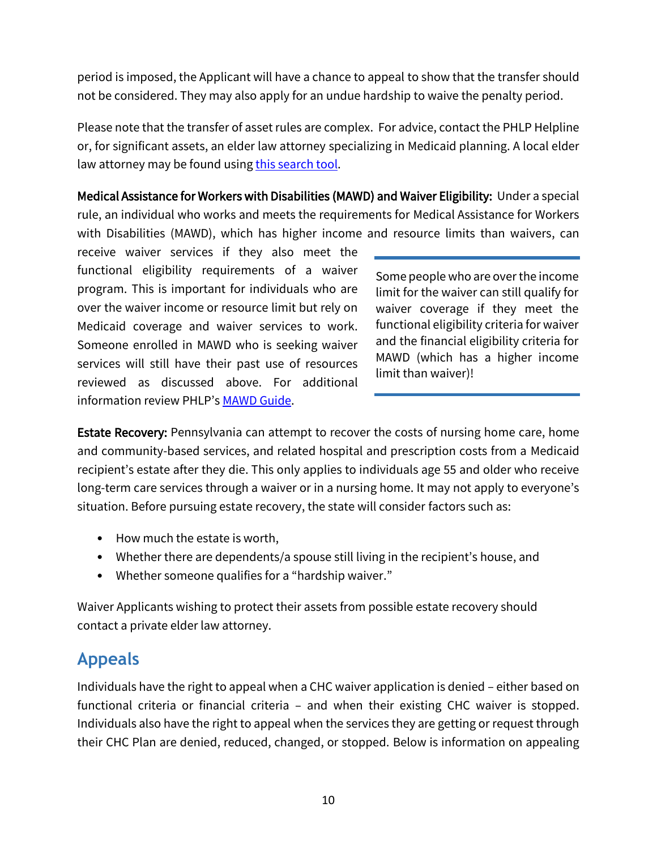period is imposed, the Applicant will have a chance to appeal to show that the transfer should not be considered. They may also apply for an undue hardship to waive the penalty period.

Please note that the transfer of asset rules are complex. For advice, contact the PHLP Helpline or, for significant assets, an elder law attorney specializing in Medicaid planning. A local elder law attorney may be found using [this search tool.](https://www.naela.org/Web/Members_Tab/Chapter_Custom_FAL/PA_FAL.aspx)

Medical Assistance for Workers with Disabilities (MAWD) and Waiver Eligibility: Under a special rule, an individual who works and meets the requirements for Medical Assistance for Workers with Disabilities (MAWD), which has higher income and resource limits than waivers, can

receive waiver services if they also meet the functional eligibility requirements of a waiver program. This is important for individuals who are over the waiver income or resource limit but rely on Medicaid coverage and waiver services to work. Someone enrolled in MAWD who is seeking waiver services will still have their past use of resources reviewed as discussed above. For additional information review PHLP's [MAWD](https://www.phlp.org/uploads/attachments/ckpftlwq7c2dl8cu8jtq0pkis-medical-assistance-for-workers-with-disabilities-mawd-a-guide-to-eligibility-2021.pdf) Guide.

Some people who are over the income limit for the waiver can still qualify for waiver coverage if they meet the functional eligibility criteria for waiver and the financial eligibility criteria for MAWD (which has a higher income limit than waiver)!

**Estate Recovery:** Pennsylvania can attempt to recover the costs of nursing home care, home and community-based services, and related hospital and prescription costs from a Medicaid recipient's estate after they die. This only applies to individuals age 55 and older who receive long-term care services through a waiver or in a nursing home. It may not apply to everyone's situation. Before pursuing estate recovery, the state will consider factors such as:

- How much the estate is worth,
- Whether there are dependents/a spouse still living in the recipient's house, and
- Whether someone qualifies for a "hardship waiver."

Waiver Applicants wishing to protect their assets from possible estate recovery should contact a private elder law attorney.

### **Appeals**

Individuals have the right to appeal when a CHC waiver application is denied – either based on functional criteria or financial criteria – and when their existing CHC waiver is stopped. Individuals also have the right to appeal when the services they are getting or request through their CHC Plan are denied, reduced, changed, or stopped. Below is information on appealing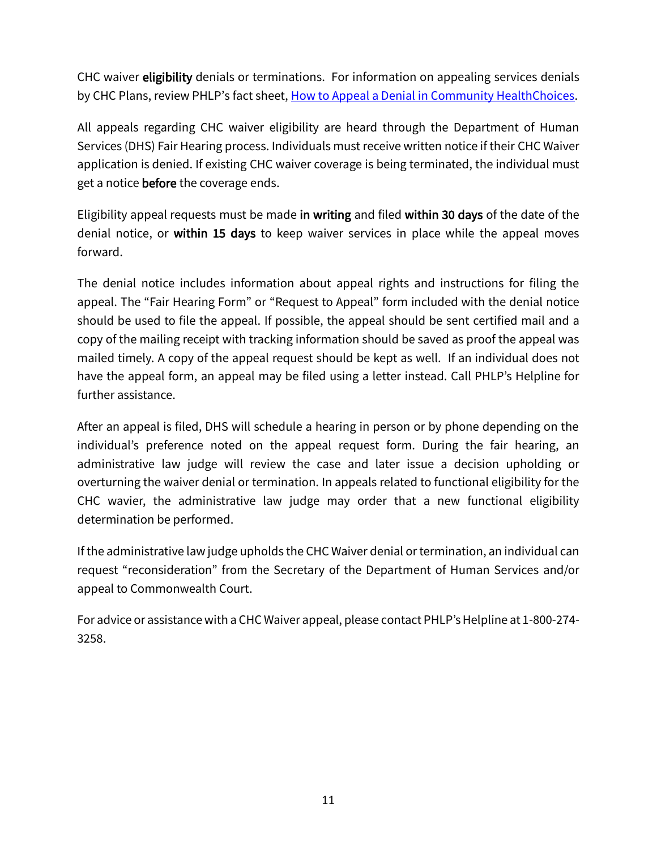CHC waiver eligibility denials or terminations. For information on appealing services denials by CHC Plans, review PHLP's fact sheet, [How to Appeal a Denial in Community HealthChoices.](https://www.phlp.org/uploads/attachments/ck34hv57j073z5qu8qjnavkby-chc-appeals-factsheet-updated-02-2019.pdf)

All appeals regarding CHC waiver eligibility are heard through the Department of Human Services (DHS) Fair Hearing process. Individuals must receive written notice if their CHC Waiver application is denied. If existing CHC waiver coverage is being terminated, the individual must get a notice **before** the coverage ends.

Eligibility appeal requests must be made in writing and filed within 30 days of the date of the denial notice, or within 15 days to keep waiver services in place while the appeal moves forward.

The denial notice includes information about appeal rights and instructions for filing the appeal. The "Fair Hearing Form" or "Request to Appeal" form included with the denial notice should be used to file the appeal. If possible, the appeal should be sent certified mail and a copy of the mailing receipt with tracking information should be saved as proof the appeal was mailed timely. A copy of the appeal request should be kept as well. If an individual does not have the appeal form, an appeal may be filed using a letter instead. Call PHLP's Helpline for further assistance.

After an appeal is filed, DHS will schedule a hearing in person or by phone depending on the individual's preference noted on the appeal request form. During the fair hearing, an administrative law judge will review the case and later issue a decision upholding or overturning the waiver denial or termination. In appeals related to functional eligibility for the CHC wavier, the administrative law judge may order that a new functional eligibility determination be performed.

If the administrative law judge upholds the CHC Waiver denial or termination, an individual can request "reconsideration" from the Secretary of the Department of Human Services and/or appeal to Commonwealth Court.

For advice or assistance with a CHC Waiver appeal, please contact PHLP's Helpline at 1-800-274- 3258.